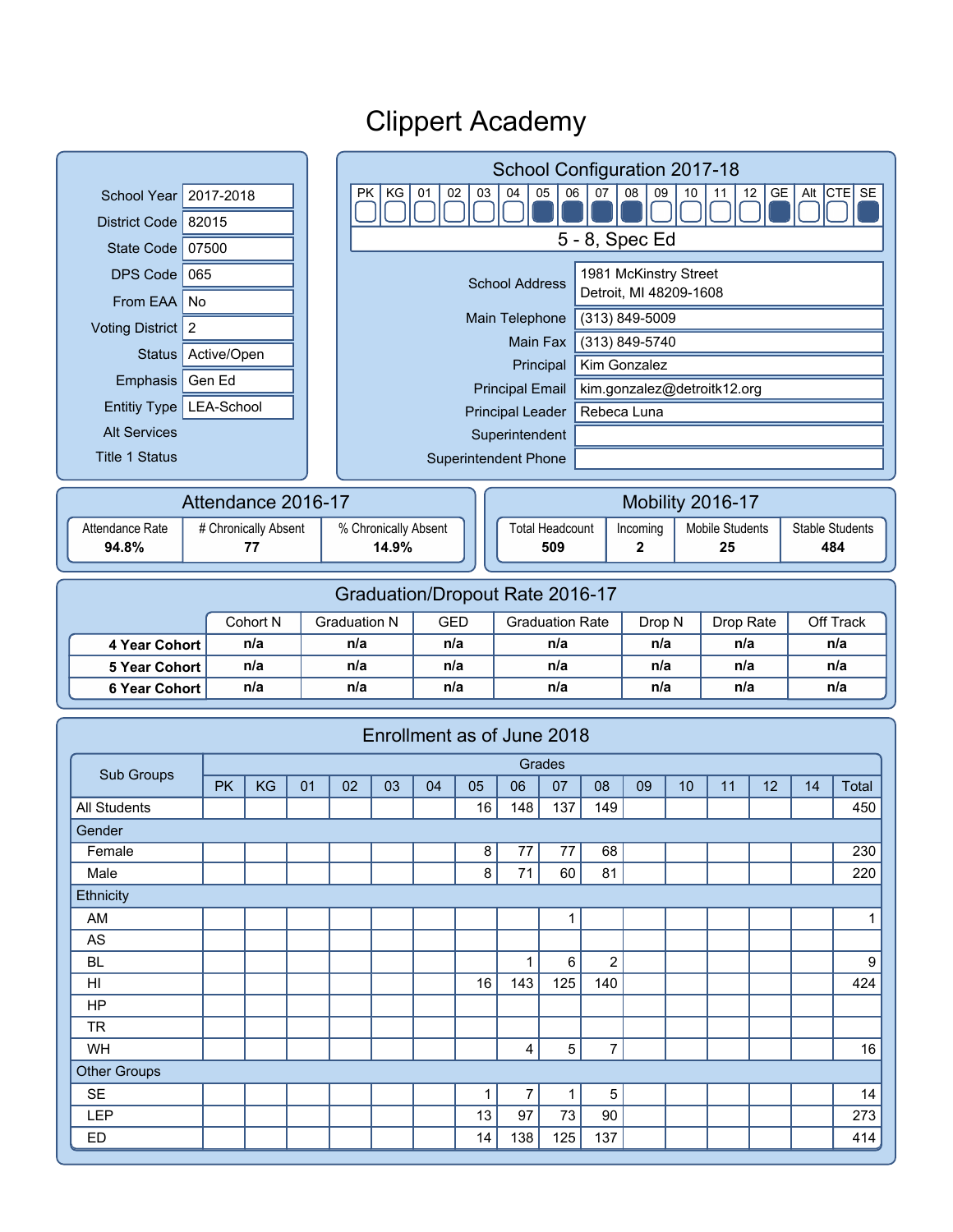|                                |                                 |                      |                    |    |                     | School Configuration 2017-18                                                                                |                   |                             |                        |                        |                |                        |          |                  |                 |                  |                        |  |
|--------------------------------|---------------------------------|----------------------|--------------------|----|---------------------|-------------------------------------------------------------------------------------------------------------|-------------------|-----------------------------|------------------------|------------------------|----------------|------------------------|----------|------------------|-----------------|------------------|------------------------|--|
| <b>School Year</b>             | 2017-2018                       |                      |                    |    |                     | Alt CTE SE<br>05<br>07<br>08<br>GE<br><b>PK</b><br>ΚG<br>01<br>02<br>03<br>04<br>06<br>09<br>12<br>10<br>11 |                   |                             |                        |                        |                |                        |          |                  |                 |                  |                        |  |
| District Code 82015            |                                 |                      |                    |    |                     |                                                                                                             |                   |                             |                        |                        |                |                        |          |                  |                 |                  |                        |  |
| State Code   07500             |                                 |                      |                    |    |                     | 5 - 8, Spec Ed                                                                                              |                   |                             |                        |                        |                |                        |          |                  |                 |                  |                        |  |
|                                | DPS Code 065                    |                      |                    |    |                     | 1981 McKinstry Street<br><b>School Address</b>                                                              |                   |                             |                        |                        |                |                        |          |                  |                 |                  |                        |  |
| From EAA   No                  |                                 |                      |                    |    |                     |                                                                                                             |                   |                             |                        |                        |                | Detroit, MI 48209-1608 |          |                  |                 |                  |                        |  |
| Voting District   2            |                                 |                      |                    |    |                     | (313) 849-5009<br>Main Telephone                                                                            |                   |                             |                        |                        |                |                        |          |                  |                 |                  |                        |  |
| <b>Status</b>                  | Active/Open                     |                      |                    |    |                     |                                                                                                             |                   |                             | Main Fax               |                        |                | (313) 849-5740         |          |                  |                 |                  |                        |  |
| Emphasis                       | Gen Ed                          |                      |                    |    |                     |                                                                                                             |                   |                             |                        | Principal              |                | Kim Gonzalez           |          |                  |                 |                  |                        |  |
|                                | Entitiy Type   LEA-School       |                      |                    |    |                     | kim.gonzalez@detroitk12.org<br><b>Principal Email</b><br>Rebeca Luna<br><b>Principal Leader</b>             |                   |                             |                        |                        |                |                        |          |                  |                 |                  |                        |  |
|                                | <b>Alt Services</b>             |                      |                    |    |                     |                                                                                                             |                   |                             | Superintendent         |                        |                |                        |          |                  |                 |                  |                        |  |
| <b>Title 1 Status</b>          |                                 |                      |                    |    |                     |                                                                                                             |                   | <b>Superintendent Phone</b> |                        |                        |                |                        |          |                  |                 |                  |                        |  |
|                                |                                 |                      |                    |    |                     |                                                                                                             |                   |                             |                        |                        |                |                        |          |                  |                 |                  |                        |  |
|                                |                                 |                      | Attendance 2016-17 |    |                     | Mobility 2016-17                                                                                            |                   |                             |                        |                        |                |                        |          |                  |                 |                  |                        |  |
| Attendance Rate                |                                 | # Chronically Absent |                    |    |                     | % Chronically Absent<br>14.9%                                                                               |                   |                             |                        | <b>Total Headcount</b> |                |                        | Incoming |                  | Mobile Students |                  | <b>Stable Students</b> |  |
|                                | 94.8%<br>77                     |                      |                    |    |                     |                                                                                                             |                   | 509                         |                        |                        | $\mathbf 2$    |                        | 25       |                  | 484             |                  |                        |  |
|                                |                                 |                      |                    |    |                     |                                                                                                             |                   |                             |                        |                        |                |                        |          |                  |                 |                  |                        |  |
|                                | Graduation/Dropout Rate 2016-17 |                      |                    |    |                     |                                                                                                             |                   |                             |                        |                        |                |                        |          |                  |                 |                  |                        |  |
|                                |                                 | Cohort N<br>n/a      |                    |    | <b>Graduation N</b> |                                                                                                             | <b>GED</b><br>n/a |                             | <b>Graduation Rate</b> |                        |                | Drop N<br>n/a          |          | Drop Rate<br>n/a |                 | Off Track<br>n/a |                        |  |
| 4 Year Cohort<br>5 Year Cohort |                                 | n/a                  |                    |    | n/a<br>n/a          |                                                                                                             | n/a               |                             | n/a<br>n/a             |                        |                | n/a                    |          | n/a              |                 | n/a              |                        |  |
| <b>6 Year Cohort</b>           |                                 | n/a                  |                    |    | n/a                 |                                                                                                             | n/a               |                             | n/a                    |                        |                | n/a                    |          | n/a              |                 | n/a              |                        |  |
|                                |                                 |                      |                    |    |                     |                                                                                                             |                   |                             |                        |                        |                |                        |          |                  |                 |                  |                        |  |
|                                |                                 |                      |                    |    |                     | Enrollment as of June 2018                                                                                  |                   |                             |                        |                        |                |                        |          |                  |                 |                  |                        |  |
|                                |                                 |                      |                    |    |                     |                                                                                                             |                   |                             |                        | Grades                 |                |                        |          |                  |                 |                  |                        |  |
| Sub Groups                     |                                 | <b>PK</b><br>KG      |                    | 01 | 02                  | 03                                                                                                          | 04                | 05                          | 06                     | 07                     | 08             | 09                     | 10       | 11               | 12              | 14               | Total                  |  |
| All Students                   |                                 |                      |                    |    |                     |                                                                                                             |                   | 16                          | 148                    | 137                    | 149            |                        |          |                  |                 |                  | 450                    |  |
| Gender                         |                                 |                      |                    |    |                     |                                                                                                             |                   |                             |                        |                        |                |                        |          |                  |                 |                  |                        |  |
| Female                         |                                 |                      |                    |    |                     |                                                                                                             |                   | 8                           | 77                     | 77                     | 68             |                        |          |                  |                 |                  | 230                    |  |
| Male                           |                                 |                      |                    |    |                     |                                                                                                             |                   | 8                           | 71                     | 60                     | 81             |                        |          |                  |                 |                  | 220                    |  |
| Ethnicity<br>AM                |                                 |                      |                    |    |                     |                                                                                                             |                   |                             |                        | 1                      |                |                        |          |                  |                 |                  | 1                      |  |
| AS                             |                                 |                      |                    |    |                     |                                                                                                             |                   |                             |                        |                        |                |                        |          |                  |                 |                  |                        |  |
| <b>BL</b>                      |                                 |                      |                    |    |                     |                                                                                                             |                   |                             | 1                      | 6                      | $\overline{2}$ |                        |          |                  |                 |                  | 9                      |  |
| HI                             |                                 |                      |                    |    |                     |                                                                                                             |                   | 16                          | 143                    | 125                    | 140            |                        |          |                  |                 |                  | 424                    |  |
| <b>HP</b>                      |                                 |                      |                    |    |                     |                                                                                                             |                   |                             |                        |                        |                |                        |          |                  |                 |                  |                        |  |
| <b>TR</b>                      |                                 |                      |                    |    |                     |                                                                                                             |                   |                             |                        |                        |                |                        |          |                  |                 |                  |                        |  |
| WH                             |                                 |                      |                    |    |                     |                                                                                                             |                   |                             | 4                      | 5                      | 7              |                        |          |                  |                 |                  | 16                     |  |
| <b>Other Groups</b>            |                                 |                      |                    |    |                     |                                                                                                             |                   |                             |                        |                        |                |                        |          |                  |                 |                  |                        |  |
| <b>SE</b>                      |                                 |                      |                    |    |                     |                                                                                                             |                   | 1                           | 7                      | 1                      | 5              |                        |          |                  |                 |                  | 14                     |  |
|                                |                                 |                      |                    |    |                     |                                                                                                             |                   |                             |                        |                        |                |                        |          |                  |                 |                  |                        |  |
| LEP<br>ED                      |                                 |                      |                    |    |                     |                                                                                                             |                   | 13<br>14                    | 97<br>138              | 73<br>125              | 90<br>137      |                        |          |                  |                 |                  | 273<br>414             |  |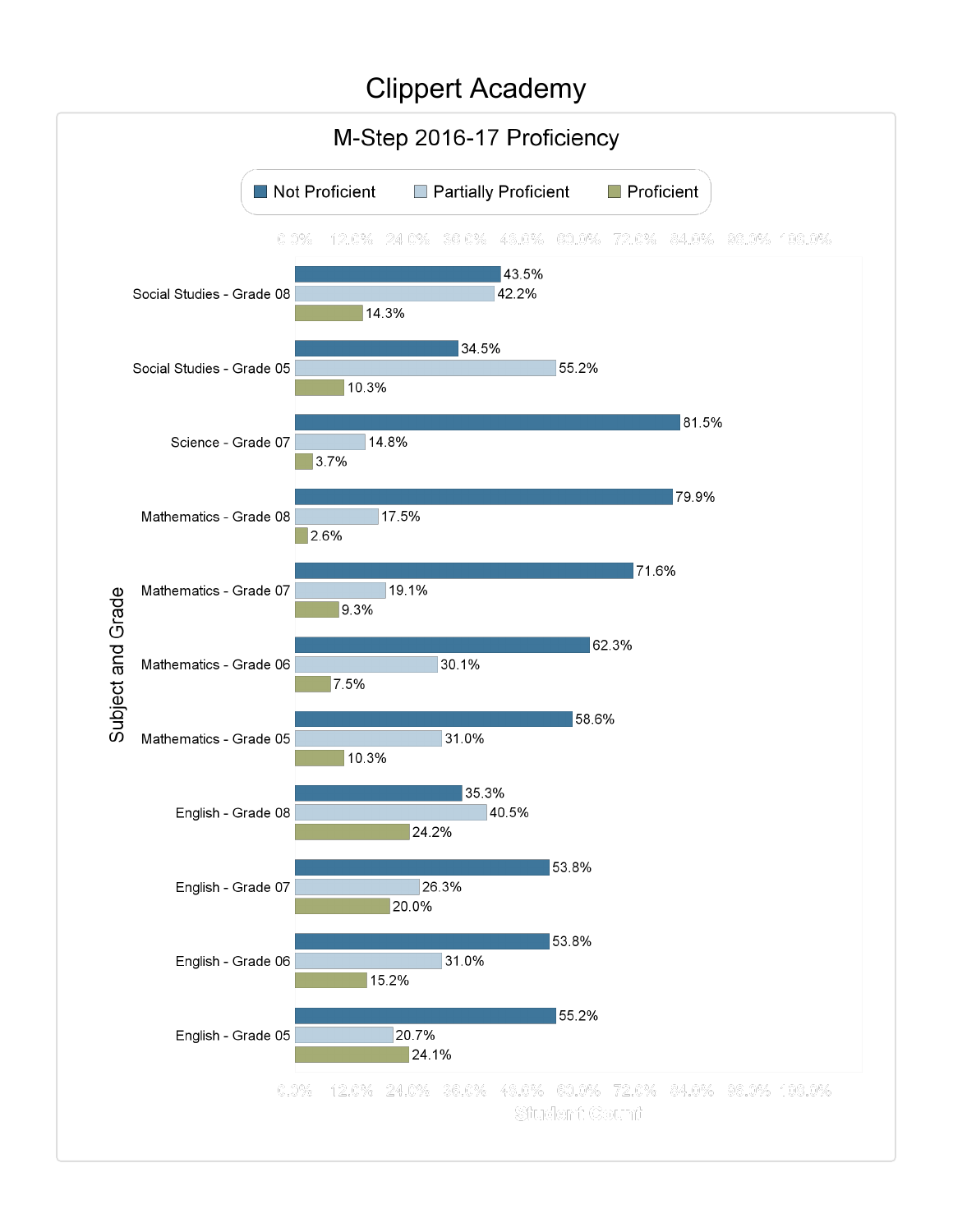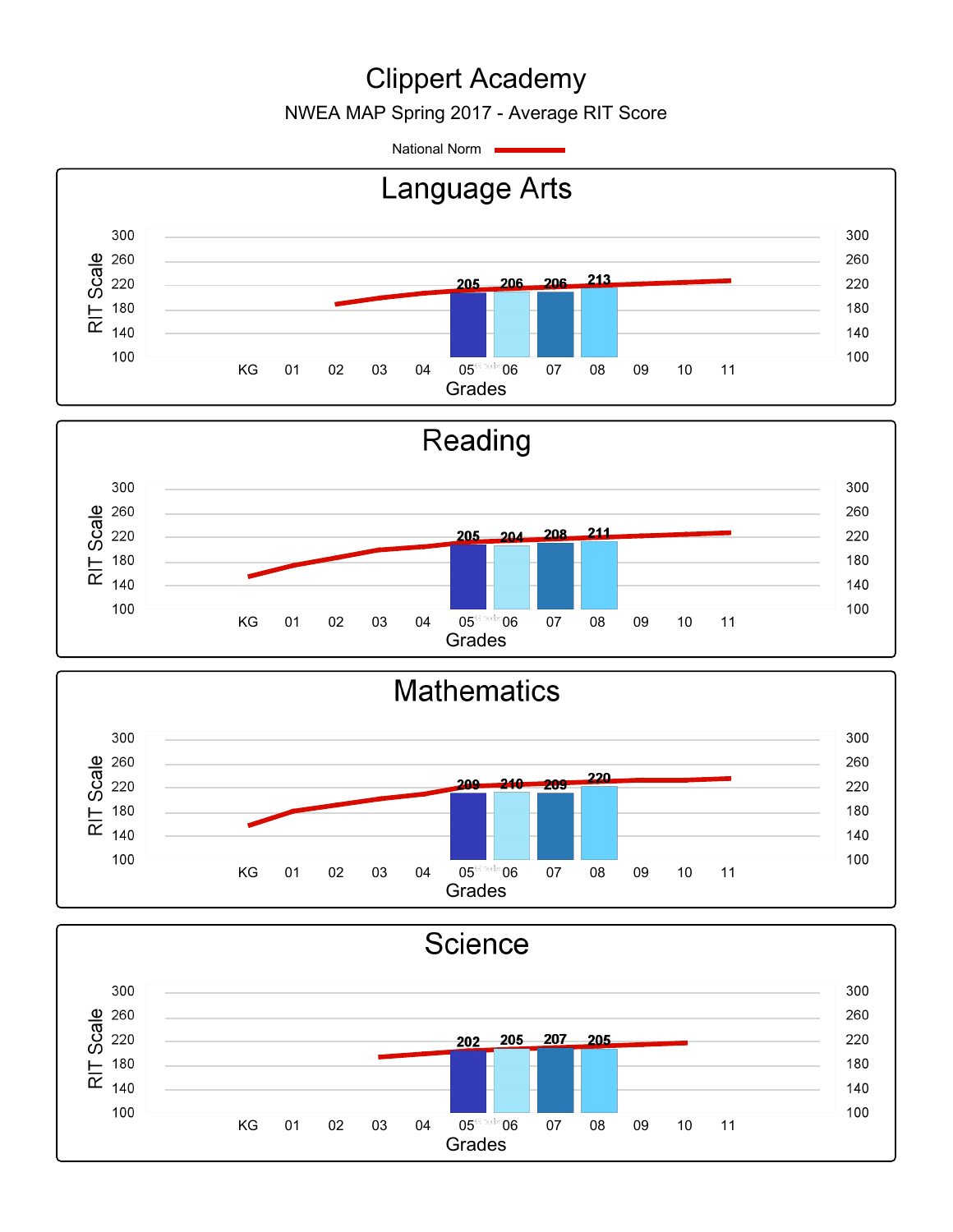NWEA MAP Spring 2017 - Average RIT Score

National Norm